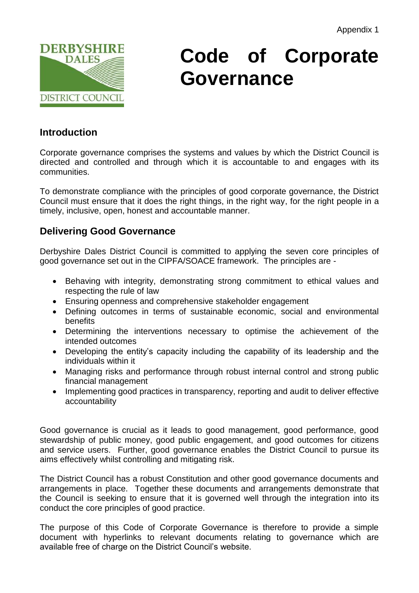

# **Code of Corporate Governance**

# **Introduction**

Corporate governance comprises the systems and values by which the District Council is directed and controlled and through which it is accountable to and engages with its communities.

To demonstrate compliance with the principles of good corporate governance, the District Council must ensure that it does the right things, in the right way, for the right people in a timely, inclusive, open, honest and accountable manner.

# **Delivering Good Governance**

Derbyshire Dales District Council is committed to applying the seven core principles of good governance set out in the CIPFA/SOACE framework. The principles are -

- Behaving with integrity, demonstrating strong commitment to ethical values and respecting the rule of law
- Ensuring openness and comprehensive stakeholder engagement
- Defining outcomes in terms of sustainable economic, social and environmental benefits
- Determining the interventions necessary to optimise the achievement of the intended outcomes
- Developing the entity's capacity including the capability of its leadership and the individuals within it
- Managing risks and performance through robust internal control and strong public financial management
- Implementing good practices in transparency, reporting and audit to deliver effective accountability

Good governance is crucial as it leads to good management, good performance, good stewardship of public money, good public engagement, and good outcomes for citizens and service users. Further, good governance enables the District Council to pursue its aims effectively whilst controlling and mitigating risk.

The District Council has a robust Constitution and other good governance documents and arrangements in place. Together these documents and arrangements demonstrate that the Council is seeking to ensure that it is governed well through the integration into its conduct the core principles of good practice.

The purpose of this Code of Corporate Governance is therefore to provide a simple document with hyperlinks to relevant documents relating to governance which are available free of charge on the District Council's website.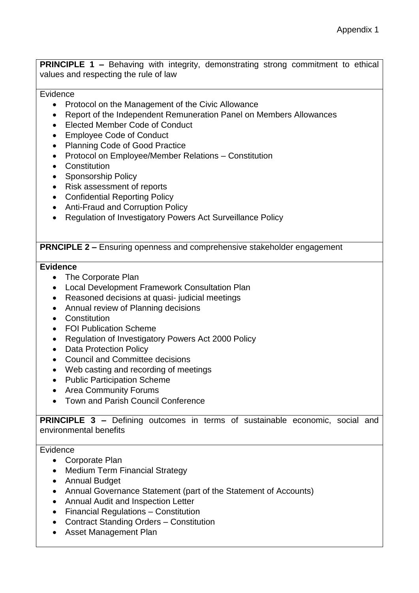**PRINCIPLE 1 –** Behaving with integrity, demonstrating strong commitment to ethical values and respecting the rule of law

#### Evidence

- Protocol on the Management of the Civic Allowance
- Report of the Independent Remuneration Panel on Members Allowances
- Elected Member Code of Conduct
- Employee Code of Conduct
- Planning Code of Good Practice
- Protocol on Employee/Member Relations Constitution
- Constitution
- Sponsorship Policy
- Risk assessment of reports
- Confidential Reporting Policy
- Anti-Fraud and Corruption Policy
- Regulation of Investigatory Powers Act Surveillance Policy

#### **PRNCIPLE 2 –** Ensuring openness and comprehensive stakeholder engagement

#### **Evidence**

- The Corporate Plan
- Local Development Framework Consultation Plan
- Reasoned decisions at quasi- judicial meetings
- Annual review of Planning decisions
- Constitution
- FOI Publication Scheme
- Regulation of Investigatory Powers Act 2000 Policy
- Data Protection Policy
- Council and Committee decisions
- Web casting and recording of meetings
- Public Participation Scheme
- Area Community Forums
- Town and Parish Council Conference

**PRINCIPLE 3 –** Defining outcomes in terms of sustainable economic, social and environmental benefits

#### Evidence

- Corporate Plan
- Medium Term Financial Strategy
- Annual Budget
- Annual Governance Statement (part of the Statement of Accounts)
- Annual Audit and Inspection Letter
- Financial Regulations Constitution
- Contract Standing Orders Constitution
- Asset Management Plan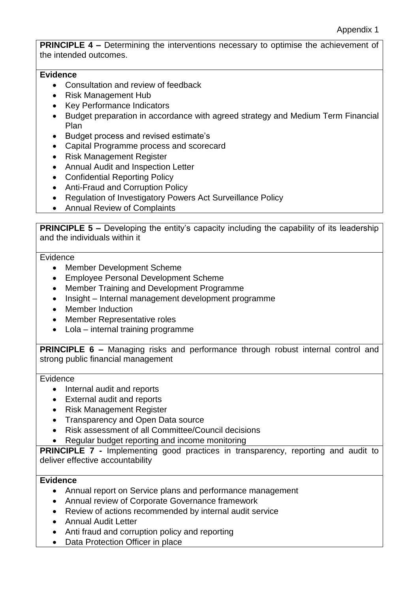**PRINCIPLE 4 –** Determining the interventions necessary to optimise the achievement of the intended outcomes.

### **Evidence**

- Consultation and review of feedback
- Risk Management Hub
- Key Performance Indicators
- Budget preparation in accordance with agreed strategy and Medium Term Financial Plan
- Budget process and revised estimate's
- Capital Programme process and scorecard
- Risk Management Register
- Annual Audit and Inspection Letter
- Confidential Reporting Policy
- Anti-Fraud and Corruption Policy
- Regulation of Investigatory Powers Act Surveillance Policy
- Annual Review of Complaints

**PRINCIPLE 5 –** Developing the entity's capacity including the capability of its leadership and the individuals within it

#### **Evidence**

- Member Development Scheme
- Employee Personal Development Scheme
- Member Training and Development Programme
- Insight Internal management development programme
- Member Induction
- Member Representative roles
- Lola internal training programme

**PRINCIPLE 6 –** Managing risks and performance through robust internal control and strong public financial management

#### Evidence

- Internal audit and reports
- External audit and reports
- Risk Management Register
- Transparency and Open Data source
- Risk assessment of all Committee/Council decisions
- Regular budget reporting and income monitoring

**PRINCIPLE 7 -** Implementing good practices in transparency, reporting and audit to deliver effective accountability

## **Evidence**

- Annual report on Service plans and performance management
- Annual review of Corporate Governance framework
- Review of actions recommended by internal audit service
- Annual Audit Letter
- Anti fraud and corruption policy and reporting
- Data Protection Officer in place